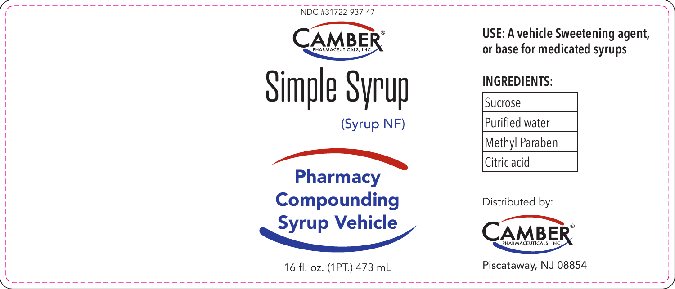



Simple Syrup

(Syrup NF)



16 fl. oz. (1PT.) 473 mL

**USE: A vehicle Sweetening agent, or base for medicated syrups**

## **INGREDIENTS:**

| Sucrose               |
|-----------------------|
| <b>Purified water</b> |
| Methyl Paraben        |
| Citric acid           |

Distributed by:



Piscataway, NJ 08854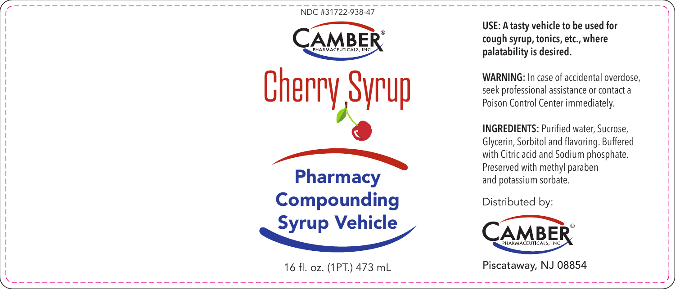

16 fl. oz. (1PT.) 473 mL

**USE: A tasty vehicle to be used for cough syrup, tonics, etc., where palatability is desired.**

**WARNING:** In case of accidental overdose, seek professional assistance or contact a Poison Control Center immediately.

**INGREDIENTS: Purified water, Sucrose,** Glycerin, Sorbitol and flavoring. Buffered with Citric acid and Sodium phosphate. Preserved with methyl paraben and potassium sorbate.

Distributed by:



Piscataway, NJ 08854